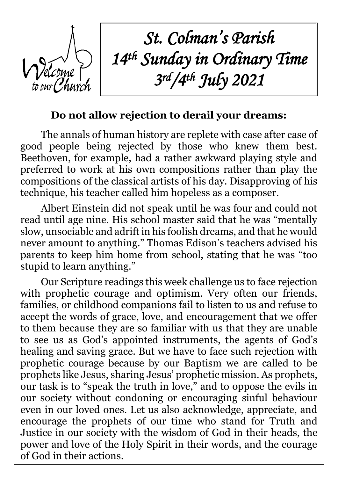

*St. Colman's Parish 14 th Sunday in Ordinary Time 3 rd/4th July 2021*

## **Do not allow rejection to derail your dreams:**

The annals of human history are replete with case after case of good people being rejected by those who knew them best. Beethoven, for example, had a rather awkward playing style and preferred to work at his own compositions rather than play the compositions of the classical artists of his day. Disapproving of his technique, his teacher called him hopeless as a composer.

Albert Einstein did not speak until he was four and could not read until age nine. His school master said that he was "mentally slow, unsociable and adrift in his foolish dreams, and that he would never amount to anything." Thomas Edison's teachers advised his parents to keep him home from school, stating that he was "too stupid to learn anything."

Our Scripture readings this week challenge us to face rejection with prophetic courage and optimism. Very often our friends, families, or childhood companions fail to listen to us and refuse to accept the words of grace, love, and encouragement that we offer to them because they are so familiar with us that they are unable to see us as God's appointed instruments, the agents of God's healing and saving grace. But we have to face such rejection with prophetic courage because by our Baptism we are called to be prophets like Jesus, sharing Jesus' prophetic mission. As prophets, our task is to "speak the truth in love," and to oppose the evils in our society without condoning or encouraging sinful behaviour even in our loved ones. Let us also acknowledge, appreciate, and encourage the prophets of our time who stand for Truth and Justice in our society with the wisdom of God in their heads, the power and love of the Holy Spirit in their words, and the courage of God in their actions.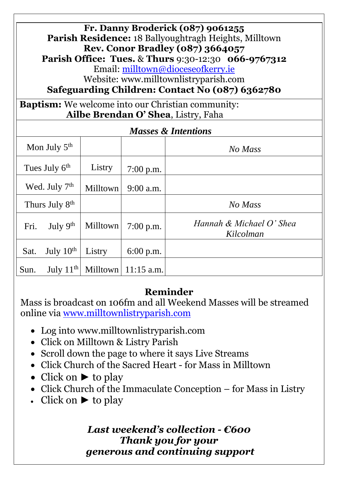**Fr. Danny Broderick (087) 9061255 Parish Residence:** 18 Ballyoughtragh Heights, Milltown **Rev. Conor Bradley (087) 3664057 Parish Office: Tues.** & **Thurs** 9:30-12:30 **066-9767312** Email: [milltown@dioceseofkerry.ie](mailto:milltown@dioceseofkerry.ie) Website: www.milltownlistryparish.com

**Safeguarding Children: Contact No (087) 6362780**

**Baptism:** We welcome into our Christian community: **Ailbe Brendan O' Shea**, Listry, Faha

| <b>Masses &amp; Intentions</b> |                |          |              |                                       |
|--------------------------------|----------------|----------|--------------|---------------------------------------|
| Mon July 5 <sup>th</sup>       |                |          |              | No Mass                               |
| Tues July 6 <sup>th</sup>      |                | Listry   | $7:00$ p.m.  |                                       |
| Wed. July 7 <sup>th</sup>      |                | Milltown | $9:00$ a.m.  |                                       |
| Thurs July 8 <sup>th</sup>     |                |          |              | No Mass                               |
| Fri.                           | July $9th$     | Milltown | $7:00$ p.m.  | Hannah & Michael O' Shea<br>Kilcolman |
| Sat.                           | July $10^{th}$ | Listry   | $6:00$ p.m.  |                                       |
| Sun.                           | July $11^{th}$ | Milltown | $11:15$ a.m. |                                       |

### **Reminder**

Mass is broadcast on 106fm and all Weekend Masses will be streamed online via [www.milltownlistryparish.com](http://www.milltownlistryparish.com/)

- Log into [www.milltownlistryparish.com](http://www.milltownlistryparish.com/)
- Click on Milltown & Listry Parish
- Scroll down the page to where it says Live Streams
- Click Church of the Sacred Heart for Mass in Milltown
- Click on ► to play
- Click Church of the Immaculate Conception for Mass in Listry
- Click on  $\blacktriangleright$  to play

#### *Last weekend's collection - €600 Thank you for your generous and continuing support*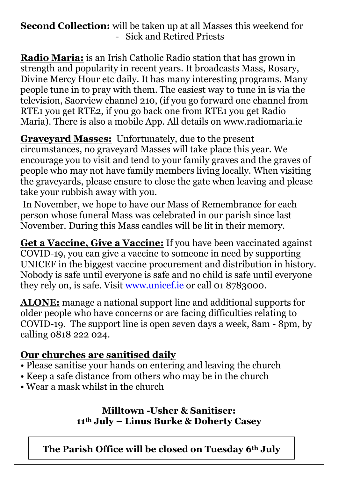## **Second Collection:** will be taken up at all Masses this weekend for - Sick and Retired Priests

**Radio Maria:** is an Irish Catholic Radio station that has grown in strength and popularity in recent years. It broadcasts Mass, Rosary, Divine Mercy Hour etc daily. It has many interesting programs. Many people tune in to pray with them. The easiest way to tune in is via the television, Saorview channel 210, (if you go forward one channel from RTE1 you get RTE2, if you go back one from RTE1 you get Radio Maria). There is also a mobile App. All details on www.radiomaria.ie

**Graveyard Masses:** Unfortunately, due to the present circumstances, no graveyard Masses will take place this year. We encourage you to visit and tend to your family graves and the graves of people who may not have family members living locally. When visiting the graveyards, please ensure to close the gate when leaving and please take your rubbish away with you.

In November, we hope to have our Mass of Remembrance for each person whose funeral Mass was celebrated in our parish since last November. During this Mass candles will be lit in their memory.

**Get a Vaccine, Give a Vaccine:** If you have been vaccinated against COVID-19, you can give a vaccine to someone in need by supporting UNICEF in the biggest vaccine procurement and distribution in history. Nobody is safe until everyone is safe and no child is safe until everyone they rely on, is safe. Visit [www.unicef.ie](http://www.unicef.ie/) or call 01 8783000.

**ALONE:** manage a national support line and additional supports for older people who have concerns or are facing difficulties relating to COVID-19. The support line is open seven days a week, 8am - 8pm, by calling 0818 222 024.

## **Our churches are sanitised daily**

- Please sanitise your hands on entering and leaving the church
- Keep a safe distance from others who may be in the church
- Wear a mask whilst in the church

**Milltown -Usher & Sanitiser: 11th July – Linus Burke & Doherty Casey**

**The Parish Office will be closed on Tuesday 6th July**